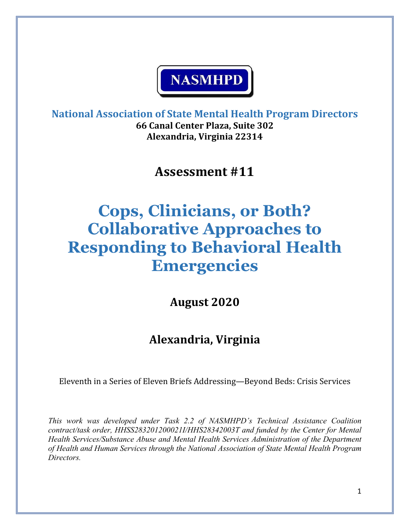

**National Association of State Mental Health Program Directors 66 Canal Center Plaza, Suite 302 Alexandria, Virginia 22314**

**Assessment #11**

# **Cops, Clinicians, or Both? Collaborative Approaches to Responding to Behavioral Health Emergencies**

**August 2020**

# **Alexandria, Virginia**

Eleventh in a Series of Eleven Briefs Addressing—Beyond Beds: Crisis Services

*This work was developed under Task 2.2 of NASMHPD's Technical Assistance Coalition contract/task order, HHSS283201200021I/HHS28342003T and funded by the Center for Mental Health Services/Substance Abuse and Mental Health Services Administration of the Department of Health and Human Services through the National Association of State Mental Health Program Directors.*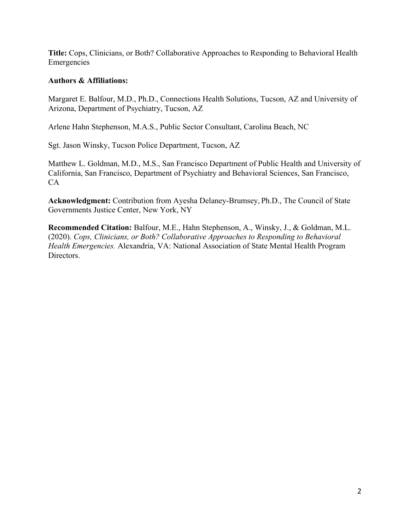**Title:** Cops, Clinicians, or Both? Collaborative Approaches to Responding to Behavioral Health Emergencies

# **Authors & Affiliations:**

Margaret E. Balfour, M.D., Ph.D., Connections Health Solutions, Tucson, AZ and University of Arizona, Department of Psychiatry, Tucson, AZ

Arlene Hahn Stephenson, M.A.S., Public Sector Consultant, Carolina Beach, NC

Sgt. Jason Winsky, Tucson Police Department, Tucson, AZ

Matthew L. Goldman, M.D., M.S., San Francisco Department of Public Health and University of California, San Francisco, Department of Psychiatry and Behavioral Sciences, San Francisco, CA

**Acknowledgment:** Contribution from Ayesha Delaney-Brumsey, Ph.D., The Council of State Governments Justice Center, New York, NY

**Recommended Citation:** Balfour, M.E., Hahn Stephenson, A., Winsky, J., & Goldman, M.L. (2020). *Cops, Clinicians, or Both? Collaborative Approaches to Responding to Behavioral Health Emergencies.* Alexandria, VA: National Association of State Mental Health Program Directors.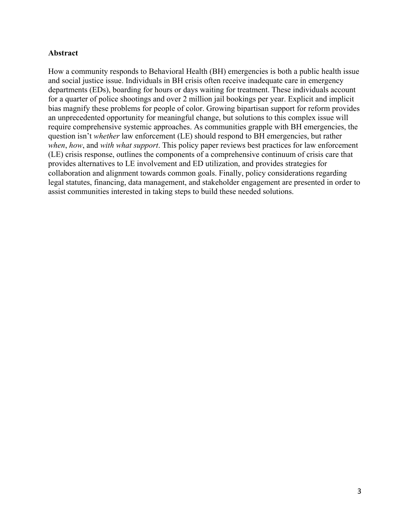# **Abstract**

How a community responds to Behavioral Health (BH) emergencies is both a public health issue and social justice issue. Individuals in BH crisis often receive inadequate care in emergency departments (EDs), boarding for hours or days waiting for treatment. These individuals account for a quarter of police shootings and over 2 million jail bookings per year. Explicit and implicit bias magnify these problems for people of color. Growing bipartisan support for reform provides an unprecedented opportunity for meaningful change, but solutions to this complex issue will require comprehensive systemic approaches. As communities grapple with BH emergencies, the question isn't *whether* law enforcement (LE) should respond to BH emergencies, but rather *when*, *how*, and *with what support*. This policy paper reviews best practices for law enforcement (LE) crisis response, outlines the components of a comprehensive continuum of crisis care that provides alternatives to LE involvement and ED utilization, and provides strategies for collaboration and alignment towards common goals. Finally, policy considerations regarding legal statutes, financing, data management, and stakeholder engagement are presented in order to assist communities interested in taking steps to build these needed solutions.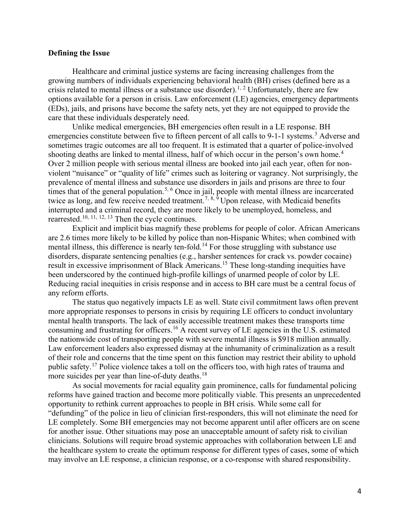#### **Defining the Issue**

Healthcare and criminal justice systems are facing increasing challenges from the growing numbers of individuals experiencing behavioral health (BH) crises (defined here as a crisis related to mental illness or a substance use disorder).<sup>[1](#page-16-0), [2](#page-16-0)</sup> Unfortunately, there are few options available for a person in crisis. Law enforcement (LE) agencies, emergency departments (EDs), jails, and prisons have become the safety nets, yet they are not equipped to provide the care that these individuals desperately need.

Unlike medical emergencies, BH emergencies often result in a LE response. BH emergencies constitute between five to fifteen percent of all calls to 9-1-1 systems.<sup>[3](#page-16-0)</sup> Adverse and sometimes tragic outcomes are all too frequent. It is estimated that a quarter of police-involved shooting deaths are linked to mental illness, half of which occur in the person's own home.<sup>[4](#page-16-0)</sup> Over 2 million people with serious mental illness are booked into jail each year, often for nonviolent "nuisance" or "quality of life" crimes such as loitering or vagrancy. Not surprisingly, the prevalence of mental illness and substance use disorders in jails and prisons are three to four times that of the general population.<sup>[5,](#page-16-0) [6](#page-16-0)</sup> Once in jail, people with mental illness are incarcerated twice as long, and few receive needed treatment.<sup>[7](#page-16-0), [8,](#page-16-0) [9](#page-16-0)</sup> Upon release, with Medicaid benefits interrupted and a criminal record, they are more likely to be unemployed, homeless, and rearrested.[10,](#page-16-0) [11](#page-16-0), [12,](#page-16-0) [13](#page-16-0) Then the cycle continues.

Explicit and implicit bias magnify these problems for people of color. African Americans are 2.6 times more likely to be killed by police than non-Hispanic Whites; when combined with mental illness, this difference is nearly ten-fold.<sup>14</sup> For those struggling with substance use disorders, disparate sentencing penalties (e.g., harsher sentences for crack vs. powder cocaine) result in excessive imprisonment of Black Americans.<sup>[15](#page-16-0)</sup> These long-standing inequities have been underscored by the continued high-profile killings of unarmed people of color by LE. Reducing racial inequities in crisis response and in access to BH care must be a central focus of any reform efforts.

The status quo negatively impacts LE as well. State civil commitment laws often prevent more appropriate responses to persons in crisis by requiring LE officers to conduct involuntary mental health transports. The lack of easily accessible treatment makes these transports time consuming and frustrating for officers.<sup>[16](#page-16-0)</sup> A recent survey of LE agencies in the U.S. estimated the nationwide cost of transporting people with severe mental illness is \$918 million annually. Law enforcement leaders also expressed dismay at the inhumanity of criminalization as a result of their role and concerns that the time spent on this function may restrict their ability to uphold public safety.[17](#page-16-0) Police violence takes a toll on the officers too, with high rates of trauma and more suicides per year than line-of-duty deaths.<sup>[18](#page-16-0)</sup>

As social movements for racial equality gain prominence, calls for fundamental policing reforms have gained traction and become more politically viable. This presents an unprecedented opportunity to rethink current approaches to people in BH crisis. While some call for "defunding" of the police in lieu of clinician first-responders, this will not eliminate the need for LE completely. Some BH emergencies may not become apparent until after officers are on scene for another issue. Other situations may pose an unacceptable amount of safety risk to civilian clinicians. Solutions will require broad systemic approaches with collaboration between LE and the healthcare system to create the optimum response for different types of cases, some of which may involve an LE response, a clinician response, or a co-response with shared responsibility.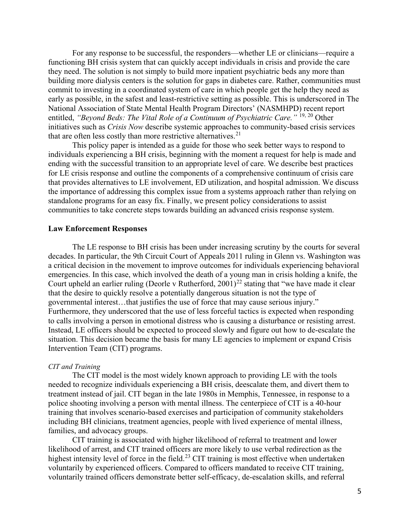For any response to be successful, the responders—whether LE or clinicians—require a functioning BH crisis system that can quickly accept individuals in crisis and provide the care they need. The solution is not simply to build more inpatient psychiatric beds any more than building more dialysis centers is the solution for gaps in diabetes care. Rather, communities must commit to investing in a coordinated system of care in which people get the help they need as early as possible, in the safest and least-restrictive setting as possible. This is underscored in The National Association of State Mental Health Program Directors' (NASMHPD) recent report entitled, *"Beyond Beds: The Vital Role of a Continuum of Psychiatric Care."* [19](#page-16-0), [20](#page-17-0) Other initiatives such as *Crisis Now* describe systemic approaches to community-based crisis services that are often less costly than more restrictive alternatives. $2<sup>1</sup>$ 

 This policy paper is intended as a guide for those who seek better ways to respond to individuals experiencing a BH crisis, beginning with the moment a request for help is made and ending with the successful transition to an appropriate level of care. We describe best practices for LE crisis response and outline the components of a comprehensive continuum of crisis care that provides alternatives to LE involvement, ED utilization, and hospital admission. We discuss the importance of addressing this complex issue from a systems approach rather than relying on standalone programs for an easy fix. Finally, we present policy considerations to assist communities to take concrete steps towards building an advanced crisis response system.

#### **Law Enforcement Responses**

The LE response to BH crisis has been under increasing scrutiny by the courts for several decades. In particular, the 9th Circuit Court of Appeals 2011 ruling in Glenn vs. Washington was a critical decision in the movement to improve outcomes for individuals experiencing behavioral emergencies. In this case, which involved the death of a young man in crisis holding a knife, the Court upheld an earlier ruling (Deorle v Rutherford,  $2001$ )<sup>[22](#page-17-0)</sup> stating that "we have made it clear that the desire to quickly resolve a potentially dangerous situation is not the type of governmental interest…that justifies the use of force that may cause serious injury." Furthermore, they underscored that the use of less forceful tactics is expected when responding to calls involving a person in emotional distress who is causing a disturbance or resisting arrest. Instead, LE officers should be expected to proceed slowly and figure out how to de-escalate the situation. This decision became the basis for many LE agencies to implement or expand Crisis Intervention Team (CIT) programs.

#### *CIT and Training*

The CIT model is the most widely known approach to providing LE with the tools needed to recognize individuals experiencing a BH crisis, deescalate them, and divert them to treatment instead of jail. CIT began in the late 1980s in Memphis, Tennessee, in response to a police shooting involving a person with mental illness. The centerpiece of CIT is a 40-hour training that involves scenario-based exercises and participation of community stakeholders including BH clinicians, treatment agencies, people with lived experience of mental illness, families, and advocacy groups.

CIT training is associated with higher likelihood of referral to treatment and lower likelihood of arrest, and CIT trained officers are more likely to use verbal redirection as the highest intensity level of force in the field.<sup>23</sup> CIT training is most effective when undertaken voluntarily by experienced officers. Compared to officers mandated to receive CIT training, voluntarily trained officers demonstrate better self-efficacy, de-escalation skills, and referral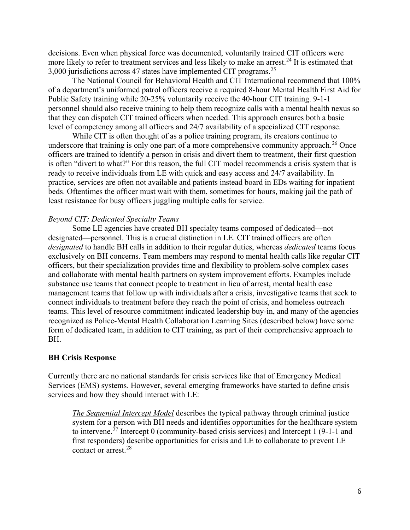decisions. Even when physical force was documented, voluntarily trained CIT officers were more likely to refer to treatment services and less likely to make an arrest.<sup>[24](#page-17-0)</sup> It is estimated that 3,000 jurisdictions across 47 states have implemented CIT programs.[25](#page-17-0) 

The National Council for Behavioral Health and CIT International recommend that 100% of a department's uniformed patrol officers receive a required 8-hour Mental Health First Aid for Public Safety training while 20-25% voluntarily receive the 40-hour CIT training. 9-1-1 personnel should also receive training to help them recognize calls with a mental health nexus so that they can dispatch CIT trained officers when needed. This approach ensures both a basic level of competency among all officers and 24/7 availability of a specialized CIT response.

While CIT is often thought of as a police training program, its creators continue to underscore that training is only one part of a more comprehensive community approach.<sup>[26](#page-17-0)</sup> Once officers are trained to identify a person in crisis and divert them to treatment, their first question is often "divert to what?" For this reason, the full CIT model recommends a crisis system that is ready to receive individuals from LE with quick and easy access and 24/7 availability. In practice, services are often not available and patients instead board in EDs waiting for inpatient beds. Oftentimes the officer must wait with them, sometimes for hours, making jail the path of least resistance for busy officers juggling multiple calls for service.

#### *Beyond CIT: Dedicated Specialty Teams*

Some LE agencies have created BH specialty teams composed of dedicated—not designated—personnel. This is a crucial distinction in LE. CIT trained officers are often *designated* to handle BH calls in addition to their regular duties, whereas *dedicated* teams focus exclusively on BH concerns. Team members may respond to mental health calls like regular CIT officers, but their specialization provides time and flexibility to problem-solve complex cases and collaborate with mental health partners on system improvement efforts. Examples include substance use teams that connect people to treatment in lieu of arrest, mental health case management teams that follow up with individuals after a crisis, investigative teams that seek to connect individuals to treatment before they reach the point of crisis, and homeless outreach teams. This level of resource commitment indicated leadership buy-in, and many of the agencies recognized as Police-Mental Health Collaboration Learning Sites (described below) have some form of dedicated team, in addition to CIT training, as part of their comprehensive approach to BH.

#### **BH Crisis Response**

Currently there are no national standards for crisis services like that of Emergency Medical Services (EMS) systems. However, several emerging frameworks have started to define crisis services and how they should interact with LE:

*The Sequential Intercept Model* describes the typical pathway through criminal justice system for a person with BH needs and identifies opportunities for the healthcare system to intervene.<sup>[27](#page-17-0)</sup> Intercept 0 (community-based crisis services) and Intercept 1 (9-1-1 and first responders) describe opportunities for crisis and LE to collaborate to prevent LE contact or arrest. [28](#page-17-0)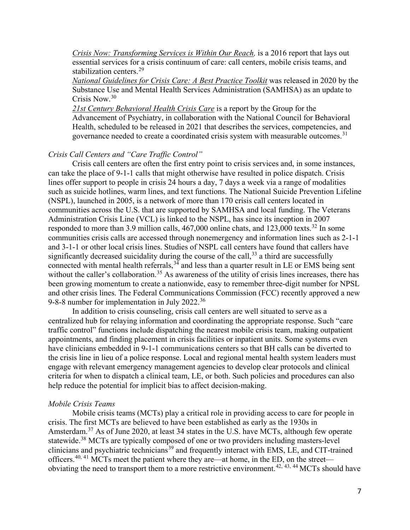*Crisis Now: Transforming Services is Within Our Reach,* is a 2016 report that lays out essential services for a crisis continuum of care: call centers, mobile crisis teams, and stabilization centers.<sup>[29](#page-17-0)</sup>

*National Guidelines for Crisis Care: A Best Practice Toolkit* was released in 2020 by the Substance Use and Mental Health Services Administration (SAMHSA) as an update to Crisis Now. [30](#page-17-0) 

*21st Century Behavioral Health Crisis Care* is a report by the Group for the Advancement of Psychiatry, in collaboration with the National Council for Behavioral Health, scheduled to be released in 2021 that describes the services, competencies, and governance needed to create a coordinated crisis system with measurable outcomes.<sup>[31](#page-17-0)</sup>

# *Crisis Call Centers and "Care Traffic Control"*

Crisis call centers are often the first entry point to crisis services and, in some instances, can take the place of 9-1-1 calls that might otherwise have resulted in police dispatch. Crisis lines offer support to people in crisis 24 hours a day, 7 days a week via a range of modalities such as suicide hotlines, warm lines, and text functions. The National Suicide Prevention Lifeline (NSPL), launched in 2005, is a network of more than 170 crisis call centers located in communities across the U.S. that are supported by SAMHSA and local funding. The Veterans Administration Crisis Line (VCL) is linked to the NSPL, has since its inception in 2007 responded to more than 3.9 million calls, 467,000 online chats, and 123,000 texts.<sup>32</sup> In some communities crisis calls are accessed through nonemergency and information lines such as 2-1-1 and 3-1-1 or other local crisis lines. Studies of NSPL call centers have found that callers have significantly decreased suicidality during the course of the call,  $33$  a third are successfully connected with mental health referrals,<sup>[34](#page-17-0)</sup> and less than a quarter result in LE or EMS being sent without the caller's collaboration.<sup>[35](#page-17-0)</sup> As awareness of the utility of crisis lines increases, there has been growing momentum to create a nationwide, easy to remember three-digit number for NPSL and other crisis lines. The Federal Communications Commission (FCC) recently approved a new 9-8-8 number for implementation in July 2022.[36](#page-17-0) 

In addition to crisis counseling, crisis call centers are well situated to serve as a centralized hub for relaying information and coordinating the appropriate response. Such "care traffic control" functions include dispatching the nearest mobile crisis team, making outpatient appointments, and finding placement in crisis facilities or inpatient units. Some systems even have clinicians embedded in 9-1-1 communications centers so that BH calls can be diverted to the crisis line in lieu of a police response. Local and regional mental health system leaders must engage with relevant emergency management agencies to develop clear protocols and clinical criteria for when to dispatch a clinical team, LE, or both. Such policies and procedures can also help reduce the potential for implicit bias to affect decision-making.

#### *Mobile Crisis Teams*

Mobile crisis teams (MCTs) play a critical role in providing access to care for people in crisis. The first MCTs are believed to have been established as early as the 1930s in Amsterdam.<sup>[37](#page-18-0)</sup> As of June 2020, at least 34 states in the U.S. have MCTs, although few operate statewide.<sup>38</sup> MCTs are typically composed of one or two providers including masters-level clinicians and psychiatric technicians<sup>39</sup> and frequently interact with EMS, LE, and CIT-trained officers.<sup>[40](#page-18-0), [41](#page-18-0)</sup> MCTs meet the patient where they are—at home, in the ED, on the street obviating the need to transport them to a more restrictive environment.[42](#page-18-0), [43,](#page-18-0) [44](#page-18-0) MCTs should have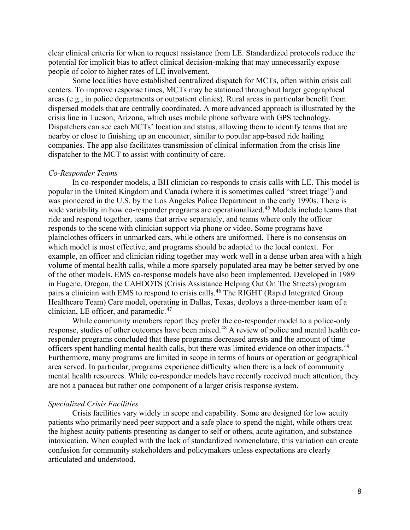clear clinical criteria for when to request assistance from LE. Standardized protocols reduce the potential for implicit bias to affect clinical decision-making that may unnecessarily expose people of color to higher rates of LE involvement.

Some localities have established centralized dispatch for MCTs, often within crisis call centers. To improve response times, MCTs may be stationed throughout larger geographical areas (e.g., in police departments or outpatient clinics). Rural areas in particular benefit from dispersed models that are centrally coordinated. A more advanced approach is illustrated by the crisis line in Tucson, Arizona, which uses mobile phone software with GPS technology. Dispatchers can see each MCTs' location and status, allowing them to identify teams that are nearby or close to finishing up an encounter, similar to popular app-based ride hailing companies. The app also facilitates transmission of clinical information from the crisis line dispatcher to the MCT to assist with continuity of care.

#### *Co-Responder Teams*

In co-responder models, a BH clinician co-responds to crisis calls with LE. This model is popular in the United Kingdom and Canada (where it is sometimes called "street triage") and was pioneered in the U.S. by the Los Angeles Police Department in the early 1990s. There is wide variability in how co-responder programs are operationalized.<sup>[45](#page-18-0)</sup> Models include teams that ride and respond together, teams that arrive separately, and teams where only the officer responds to the scene with clinician support via phone or video. Some programs have plainclothes officers in unmarked cars, while others are uniformed. There is no consensus on which model is most effective, and programs should be adapted to the local context. For example, an officer and clinician riding together may work well in a dense urban area with a high volume of mental health calls, while a more sparsely populated area may be better served by one of the other models. EMS co-response models have also been implemented. Developed in 1989 in Eugene, Oregon, the CAHOOTS (Crisis Assistance Helping Out On The Streets) program pairs a clinician with EMS to respond to crisis calls.<sup>[46](#page-18-0)</sup> The RIGHT (Rapid Integrated Group Healthcare Team) Care model, operating in Dallas, Texas, deploys a three-member team of a clinician, LE officer, and paramedic. $47$ 

While community members report they prefer the co-responder model to a police-only response, studies of other outcomes have been mixed.<sup>48</sup> A review of police and mental health coresponder programs concluded that these programs decreased arrests and the amount of time officers spent handling mental health calls, but there was limited evidence on other impacts.<sup>[49](#page-18-0)</sup> Furthermore, many programs are limited in scope in terms of hours or operation or geographical area served. In particular, programs experience difficulty when there is a lack of community mental health resources. While co-responder models have recently received much attention, they are not a panacea but rather one component of a larger crisis response system.

#### *Specialized Crisis Facilities*

Crisis facilities vary widely in scope and capability. Some are designed for low acuity patients who primarily need peer support and a safe place to spend the night, while others treat the highest acuity patients presenting as danger to self or others, acute agitation, and substance intoxication. When coupled with the lack of standardized nomenclature, this variation can create confusion for community stakeholders and policymakers unless expectations are clearly articulated and understood.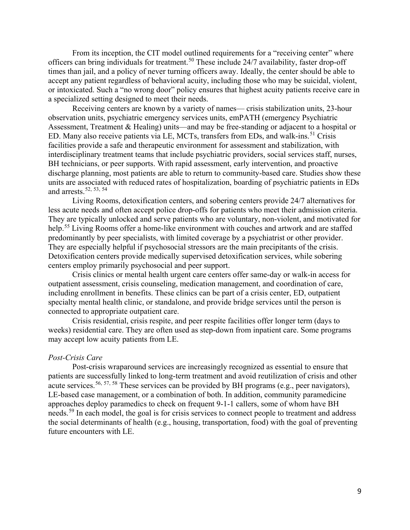From its inception, the CIT model outlined requirements for a "receiving center" where officers can bring individuals for treatment.[50](#page-18-0) These include 24/7 availability, faster drop-off times than jail, and a policy of never turning officers away. Ideally, the center should be able to accept any patient regardless of behavioral acuity, including those who may be suicidal, violent, or intoxicated. Such a "no wrong door" policy ensures that highest acuity patients receive care in a specialized setting designed to meet their needs.

Receiving centers are known by a variety of names— crisis stabilization units, 23-hour observation units, psychiatric emergency services units, emPATH (emergency Psychiatric Assessment, Treatment & Healing) units—and may be free-standing or adjacent to a hospital or ED. Many also receive patients via LE, MCTs, transfers from EDs, and walk-ins.<sup>[51](#page-18-0)</sup> Crisis facilities provide a safe and therapeutic environment for assessment and stabilization, with interdisciplinary treatment teams that include psychiatric providers, social services staff, nurses, BH technicians, or peer supports. With rapid assessment, early intervention, and proactive discharge planning, most patients are able to return to community-based care. Studies show these units are associated with reduced rates of hospitalization, boarding of psychiatric patients in EDs and arrests.[52](#page-18-0), [53,](#page-18-0) [54](#page-18-0)

Living Rooms, detoxification centers, and sobering centers provide 24/7 alternatives for less acute needs and often accept police drop-offs for patients who meet their admission criteria. They are typically unlocked and serve patients who are voluntary, non-violent, and motivated for help.<sup>[55](#page-19-0)</sup> Living Rooms offer a home-like environment with couches and artwork and are staffed predominantly by peer specialists, with limited coverage by a psychiatrist or other provider. They are especially helpful if psychosocial stressors are the main precipitants of the crisis. Detoxification centers provide medically supervised detoxification services, while sobering centers employ primarily psychosocial and peer support.

Crisis clinics or mental health urgent care centers offer same-day or walk-in access for outpatient assessment, crisis counseling, medication management, and coordination of care, including enrollment in benefits. These clinics can be part of a crisis center, ED, outpatient specialty mental health clinic, or standalone, and provide bridge services until the person is connected to appropriate outpatient care.

Crisis residential, crisis respite, and peer respite facilities offer longer term (days to weeks) residential care. They are often used as step-down from inpatient care. Some programs may accept low acuity patients from LE.

#### *Post-Crisis Care*

Post-crisis wraparound services are increasingly recognized as essential to ensure that patients are successfully linked to long-term treatment and avoid reutilization of crisis and other acute services.  $56, 57, 58$  $56, 57, 58$  $56, 57, 58$  $56, 57, 58$  These services can be provided by BH programs (e.g., peer navigators), LE-based case management, or a combination of both. In addition, community paramedicine approaches deploy paramedics to check on frequent 9-1-1 callers, some of whom have BH needs.<sup>59</sup> In each model, the goal is for crisis services to connect people to treatment and address the social determinants of health (e.g., housing, transportation, food) with the goal of preventing future encounters with LE.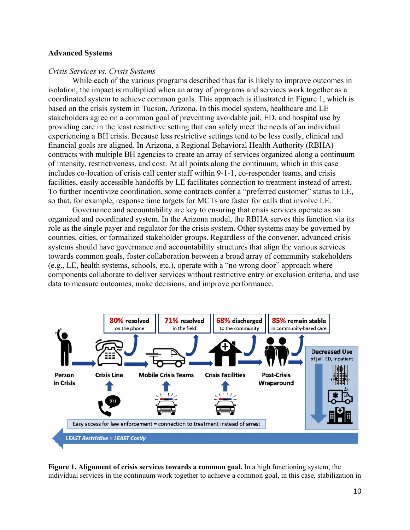#### **Advanced Systems**

#### *Crisis Services vs. Crisis Systems*

While each of the various programs described thus far is likely to improve outcomes in isolation, the impact is multiplied when an array of programs and services work together as a coordinated system to achieve common goals. This approach is illustrated in Figure 1, which is based on the crisis system in Tucson, Arizona. In this model system, healthcare and LE stakeholders agree on a common goal of preventing avoidable jail, ED, and hospital use by providing care in the least restrictive setting that can safely meet the needs of an individual experiencing a BH crisis. Because less restrictive settings tend to be less costly, clinical and financial goals are aligned. In Arizona, a Regional Behavioral Health Authority (RBHA) contracts with multiple BH agencies to create an array of services organized along a continuum of intensity, restrictiveness, and cost. At all points along the continuum, which in this case includes co-location of crisis call center staff within 9-1-1, co-responder teams, and crisis facilities, easily accessible handoffs by LE facilitates connection to treatment instead of arrest. To further incentivize coordination, some contracts confer a "preferred customer" status to LE, so that, for example, response time targets for MCTs are faster for calls that involve LE.

Governance and accountability are key to ensuring that crisis services operate as an organized and coordinated system. In the Arizona model, the RBHA serves this function via its role as the single payer and regulator for the crisis system. Other systems may be governed by counties, cities, or formalized stakeholder groups. Regardless of the convener, advanced crisis systems should have governance and accountability structures that align the various services towards common goals, foster collaboration between a broad array of community stakeholders (e.g., LE, health systems, schools, etc.), operate with a "no wrong door" approach where components collaborate to deliver services without restrictive entry or exclusion criteria, and use data to measure outcomes, make decisions, and improve performance.



**Figure 1. Alignment of crisis services towards a common goal.** In a high functioning system, the individual services in the continuum work together to achieve a common goal, in this case, stabilization in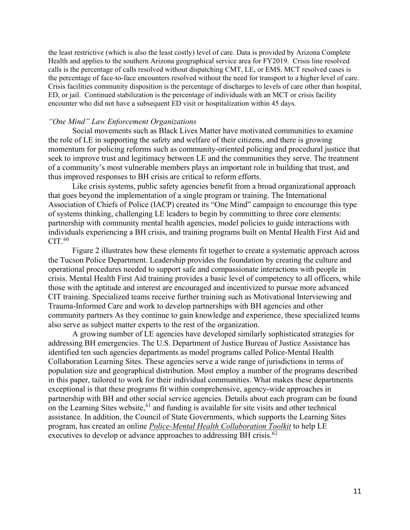the least restrictive (which is also the least costly) level of care. Data is provided by Arizona Complete Health and applies to the southern Arizona geographical service area for FY2019. Crisis line resolved calls is the percentage of calls resolved without dispatching CMT, LE, or EMS. MCT resolved cases is the percentage of face-to-face encounters resolved without the need for transport to a higher level of care. Crisis facilities community disposition is the percentage of discharges to levels of care other than hospital, ED, or jail. Continued stabilization is the percentage of individuals with an MCT or crisis facility encounter who did not have a subsequent ED visit or hospitalization within 45 days.

#### *"One Mind" Law Enforcement Organizations*

Social movements such as Black Lives Matter have motivated communities to examine the role of LE in supporting the safety and welfare of their citizens, and there is growing momentum for policing reforms such as community-oriented policing and procedural justice that seek to improve trust and legitimacy between LE and the communities they serve. The treatment of a community's most vulnerable members plays an important role in building that trust, and thus improved responses to BH crisis are critical to reform efforts.

Like crisis systems, public safety agencies benefit from a broad organizational approach that goes beyond the implementation of a single program or training. The International Association of Chiefs of Police (IACP) created its "One Mind" campaign to encourage this type of systems thinking, challenging LE leaders to begin by committing to three core elements: partnership with community mental health agencies, model policies to guide interactions with individuals experiencing a BH crisis, and training programs built on Mental Health First Aid and  $CIT.<sup>60</sup>$ 

Figure 2 illustrates how these elements fit together to create a systematic approach across the Tucson Police Department. Leadership provides the foundation by creating the culture and operational procedures needed to support safe and compassionate interactions with people in crisis. Mental Health First Aid training provides a basic level of competency to all officers, while those with the aptitude and interest are encouraged and incentivized to pursue more advanced CIT training. Specialized teams receive further training such as Motivational Interviewing and Trauma-Informed Care and work to develop partnerships with BH agencies and other community partners As they continue to gain knowledge and experience, these specialized teams also serve as subject matter experts to the rest of the organization.

A growing number of LE agencies have developed similarly sophisticated strategies for addressing BH emergencies. The U.S. Department of Justice Bureau of Justice Assistance has identified ten such agencies departments as model programs called Police-Mental Health Collaboration Learning Sites. These agencies serve a wide range of jurisdictions in terms of population size and geographical distribution. Most employ a number of the programs described in this paper, tailored to work for their individual communities. What makes these departments exceptional is that these programs fit within comprehensive, agency-wide approaches in partnership with BH and other social service agencies. Details about each program can be found on the Learning Sites website,  $61$  and funding is available for site visits and other technical assistance. In addition, the Council of State Governments, which supports the Learning Sites program, has created an online *Police-Mental Health Collaboration Toolkit* to help LE executives to develop or advance approaches to addressing BH crisis.<sup>[62](#page-19-0)</sup>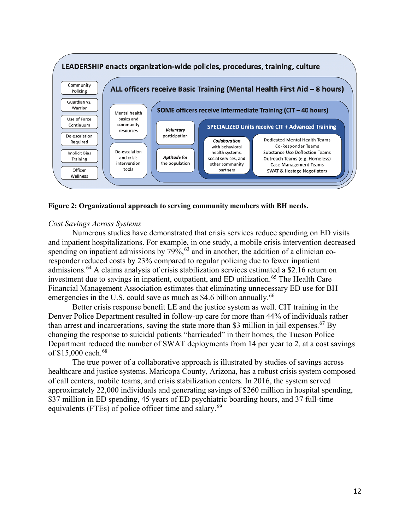

#### **Figure 2: Organizational approach to serving community members with BH needs.**

#### *Cost Savings Across Systems*

Numerous studies have demonstrated that crisis services reduce spending on ED visits and inpatient hospitalizations. For example, in one study, a mobile crisis intervention decreased spending on inpatient admissions by  $79\%$ ,  $^{63}$  $^{63}$  $^{63}$  and in another, the addition of a clinician coresponder reduced costs by 23% compared to regular policing due to fewer inpatient admissions.[64](#page-19-0) A claims analysis of crisis stabilization services estimated a \$2.16 return on investment due to savings in inpatient, outpatient, and ED utilization.<sup>[65](#page-19-0)</sup> The Health Care Financial Management Association estimates that eliminating unnecessary ED use for BH emergencies in the U.S. could save as much as \$4.6 billion annually.<sup>[66](#page-19-0)</sup>

Better crisis response benefit LE and the justice system as well. CIT training in the Denver Police Department resulted in follow-up care for more than 44% of individuals rather than arrest and incarcerations, saving the state more than \$3 million in jail expenses.<sup>[67](#page-19-0)</sup> By changing the response to suicidal patients "barricaded" in their homes, the Tucson Police Department reduced the number of SWAT deployments from 14 per year to 2, at a cost savings of \$15,000 each.<sup>68</sup>

The true power of a collaborative approach is illustrated by studies of savings across healthcare and justice systems. Maricopa County, Arizona, has a robust crisis system composed of call centers, mobile teams, and crisis stabilization centers. In 2016, the system served approximately 22,000 individuals and generating savings of \$260 million in hospital spending, \$37 million in ED spending, 45 years of ED psychiatric boarding hours, and 37 full-time equivalents (FTEs) of police officer time and salary.<sup>69</sup>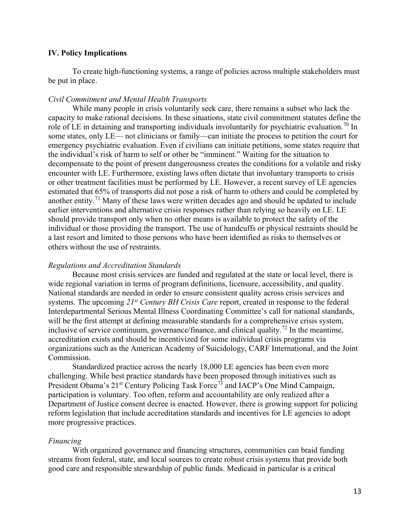#### **IV. Policy Implications**

To create high-functioning systems, a range of policies across multiple stakeholders must be put in place.

## *Civil Commitment and Mental Health Transports*

While many people in crisis voluntarily seek care, there remains a subset who lack the capacity to make rational decisions. In these situations, state civil commitment statutes define the role of LE in detaining and transporting individuals involuntarily for psychiatric evaluation.<sup>[70](#page-19-0)</sup> In some states, only LE— not clinicians or family—can initiate the process to petition the court for emergency psychiatric evaluation. Even if civilians can initiate petitions, some states require that the individual's risk of harm to self or other be "imminent." Waiting for the situation to decompensate to the point of present dangerousness creates the conditions for a volatile and risky encounter with LE. Furthermore, existing laws often dictate that involuntary transports to crisis or other treatment facilities must be performed by LE. However, a recent survey of LE agencies estimated that 65% of transports did not pose a risk of harm to others and could be completed by another entity.<sup>71</sup> Many of these laws were written decades ago and should be updated to include earlier interventions and alternative crisis responses rather than relying so heavily on LE. LE should provide transport only when no other means is available to protect the safety of the individual or those providing the transport. The use of handcuffs or physical restraints should be a last resort and limited to those persons who have been identified as risks to themselves or others without the use of restraints.

#### *Regulations and Accreditation Standards*

Because most crisis services are funded and regulated at the state or local level, there is wide regional variation in terms of program definitions, licensure, accessibility, and quality. National standards are needed in order to ensure consistent quality across crisis services and systems. The upcoming *21st Century BH Crisis Care* report, created in response to the federal Interdepartmental Serious Mental Illness Coordinating Committee's call for national standards, will be the first attempt at defining measurable standards for a comprehensive crisis system, inclusive of service continuum, governance/finance, and clinical quality.<sup>[72](#page-20-0)</sup> In the meantime, accreditation exists and should be incentivized for some individual crisis programs via organizations such as the American Academy of Suicidology, CARF International, and the Joint Commission.

Standardized practice across the nearly 18,000 LE agencies has been even more challenging. While best practice standards have been proposed through initiatives such as President Obama's 21<sup>st</sup> Century Policing Task Force<sup>[73](#page-20-1)</sup> and IACP's One Mind Campaign, participation is voluntary. Too often, reform and accountability are only realized after a Department of Justice consent decree is enacted. However, there is growing support for policing reform legislation that include accreditation standards and incentives for LE agencies to adopt more progressive practices.

#### *Financing*

With organized governance and financing structures, communities can braid funding streams from federal, state, and local sources to create robust crisis systems that provide both good care and responsible stewardship of public funds. Medicaid in particular is a critical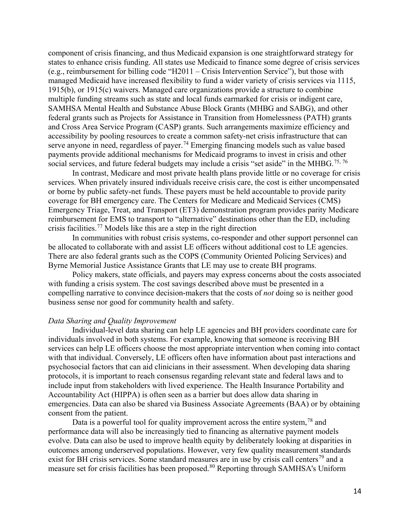component of crisis financing, and thus Medicaid expansion is one straightforward strategy for states to enhance crisis funding. All states use Medicaid to finance some degree of crisis services (e.g., reimbursement for billing code "H2011 – Crisis Intervention Service"), but those with managed Medicaid have increased flexibility to fund a wider variety of crisis services via 1115, 1915(b), or 1915(c) waivers. Managed care organizations provide a structure to combine multiple funding streams such as state and local funds earmarked for crisis or indigent care, SAMHSA Mental Health and Substance Abuse Block Grants (MHBG and SABG), and other federal grants such as Projects for Assistance in Transition from Homelessness (PATH) grants and Cross Area Service Program (CASP) grants. Such arrangements maximize efficiency and accessibility by pooling resources to create a common safety-net crisis infrastructure that can serve anyone in need, regardless of payer.<sup>[74](#page-20-2)</sup> Emerging financing models such as value based payments provide additional mechanisms for Medicaid programs to invest in crisis and other social services, and future federal budgets may include a crisis "set aside" in the MHBG.<sup>[75](#page-20-3), [76](#page-20-4)</sup>

In contrast, Medicare and most private health plans provide little or no coverage for crisis services. When privately insured individuals receive crisis care, the cost is either uncompensated or borne by public safety-net funds. These payers must be held accountable to provide parity coverage for BH emergency care. The Centers for Medicare and Medicaid Services (CMS) Emergency Triage, Treat, and Transport (ET3) demonstration program provides parity Medicare reimbursement for EMS to transport to "alternative" destinations other than the ED, including crisis facilities.<sup>[77](#page-20-5)</sup> Models like this are a step in the right direction

In communities with robust crisis systems, co-responder and other support personnel can be allocated to collaborate with and assist LE officers without additional cost to LE agencies. There are also federal grants such as the COPS (Community Oriented Policing Services) and Byrne Memorial Justice Assistance Grants that LE may use to create BH programs.

Policy makers, state officials, and payers may express concerns about the costs associated with funding a crisis system. The cost savings described above must be presented in a compelling narrative to convince decision-makers that the costs of *not* doing so is neither good business sense nor good for community health and safety.

#### *Data Sharing and Quality Improvement*

Individual-level data sharing can help LE agencies and BH providers coordinate care for individuals involved in both systems. For example, knowing that someone is receiving BH services can help LE officers choose the most appropriate intervention when coming into contact with that individual. Conversely, LE officers often have information about past interactions and psychosocial factors that can aid clinicians in their assessment. When developing data sharing protocols, it is important to reach consensus regarding relevant state and federal laws and to include input from stakeholders with lived experience. The Health Insurance Portability and Accountability Act (HIPPA) is often seen as a barrier but does allow data sharing in emergencies. Data can also be shared via Business Associate Agreements (BAA) or by obtaining consent from the patient.

Data is a powerful tool for quality improvement across the entire system,<sup>[78](#page-20-6)</sup> and performance data will also be increasingly tied to financing as alternative payment models evolve. Data can also be used to improve health equity by deliberately looking at disparities in outcomes among underserved populations. However, very few quality measurement standards exist for BH crisis services. Some standard measures are in use by crisis call centers<sup>[79](#page-20-7)</sup> and a measure set for crisis facilities has been proposed.<sup>[80](#page-20-8)</sup> Reporting through SAMHSA's Uniform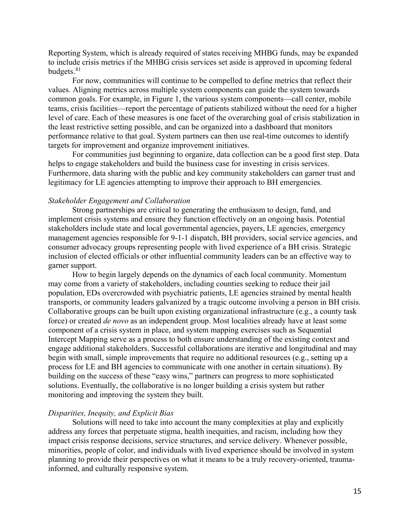Reporting System, which is already required of states receiving MHBG funds, may be expanded to include crisis metrics if the MHBG crisis services set aside is approved in upcoming federal budgets.<sup>81</sup>

For now, communities will continue to be compelled to define metrics that reflect their values. Aligning metrics across multiple system components can guide the system towards common goals. For example, in Figure 1, the various system components—call center, mobile teams, crisis facilities—report the percentage of patients stabilized without the need for a higher level of care. Each of these measures is one facet of the overarching goal of crisis stabilization in the least restrictive setting possible, and can be organized into a dashboard that monitors performance relative to that goal. System partners can then use real-time outcomes to identify targets for improvement and organize improvement initiatives.

For communities just beginning to organize, data collection can be a good first step. Data helps to engage stakeholders and build the business case for investing in crisis services. Furthermore, data sharing with the public and key community stakeholders can garner trust and legitimacy for LE agencies attempting to improve their approach to BH emergencies.

#### *Stakeholder Engagement and Collaboration*

Strong partnerships are critical to generating the enthusiasm to design, fund, and implement crisis systems and ensure they function effectively on an ongoing basis. Potential stakeholders include state and local governmental agencies, payers, LE agencies, emergency management agencies responsible for 9-1-1 dispatch, BH providers, social service agencies, and consumer advocacy groups representing people with lived experience of a BH crisis. Strategic inclusion of elected officials or other influential community leaders can be an effective way to garner support.

How to begin largely depends on the dynamics of each local community. Momentum may come from a variety of stakeholders, including counties seeking to reduce their jail population, EDs overcrowded with psychiatric patients, LE agencies strained by mental health transports, or community leaders galvanized by a tragic outcome involving a person in BH crisis. Collaborative groups can be built upon existing organizational infrastructure (e.g., a county task force) or created *de novo* as an independent group. Most localities already have at least some component of a crisis system in place, and system mapping exercises such as Sequential Intercept Mapping serve as a process to both ensure understanding of the existing context and engage additional stakeholders. Successful collaborations are iterative and longitudinal and may begin with small, simple improvements that require no additional resources (e.g., setting up a process for LE and BH agencies to communicate with one another in certain situations). By building on the success of these "easy wins," partners can progress to more sophisticated solutions. Eventually, the collaborative is no longer building a crisis system but rather monitoring and improving the system they built.

#### *Disparities, Inequity, and Explicit Bias*

Solutions will need to take into account the many complexities at play and explicitly address any forces that perpetuate stigma, health inequities, and racism, including how they impact crisis response decisions, service structures, and service delivery. Whenever possible, minorities, people of color, and individuals with lived experience should be involved in system planning to provide their perspectives on what it means to be a truly recovery-oriented, traumainformed, and culturally responsive system.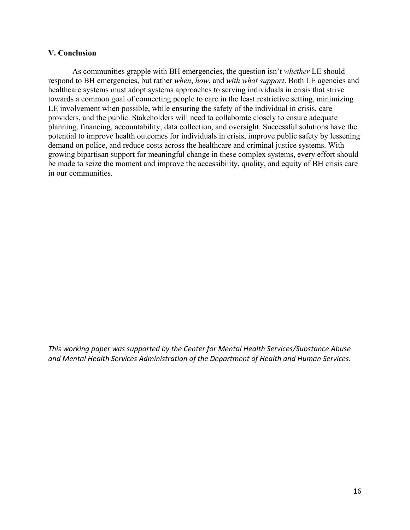## **V. Conclusion**

As communities grapple with BH emergencies, the question isn't *whether* LE should respond to BH emergencies, but rather *when*, *how*, and *with what support*. Both LE agencies and healthcare systems must adopt systems approaches to serving individuals in crisis that strive towards a common goal of connecting people to care in the least restrictive setting, minimizing LE involvement when possible, while ensuring the safety of the individual in crisis, care providers, and the public. Stakeholders will need to collaborate closely to ensure adequate planning, financing, accountability, data collection, and oversight. Successful solutions have the potential to improve health outcomes for individuals in crisis, improve public safety by lessening demand on police, and reduce costs across the healthcare and criminal justice systems. With growing bipartisan support for meaningful change in these complex systems, every effort should be made to seize the moment and improve the accessibility, quality, and equity of BH crisis care in our communities.

*This working paper was supported by the Center for Mental Health Services/Substance Abuse and Mental Health Services Administration of the Department of Health and Human Services.*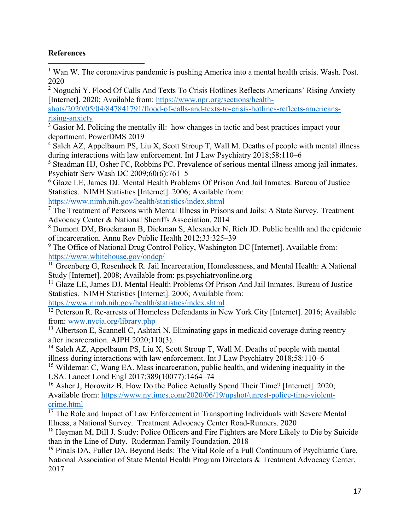# <span id="page-16-0"></span>**References**

 $\overline{a}$ 

 $<sup>1</sup>$  Wan W. The coronavirus pandemic is pushing America into a mental health crisis. Wash. Post.</sup> 2020

<sup>2</sup> Noguchi Y. Flood Of Calls And Texts To Crisis Hotlines Reflects Americans' Rising Anxiety [Internet]. 2020; Available from: [https://www.npr.org/sections/health-](https://www.npr.org/sections/health-shots/2020/05/04/847841791/flood-of-calls-and-texts-to-crisis-hotlines-reflects-americans-rising-anxiety)

[shots/2020/05/04/847841791/flood-of-calls-and-texts-to-crisis-hotlines-reflects-americans](https://www.npr.org/sections/health-shots/2020/05/04/847841791/flood-of-calls-and-texts-to-crisis-hotlines-reflects-americans-rising-anxiety)[rising-anxiety](https://www.npr.org/sections/health-shots/2020/05/04/847841791/flood-of-calls-and-texts-to-crisis-hotlines-reflects-americans-rising-anxiety)

 $\frac{3}{3}$  Gasior M. Policing the mentally ill: how changes in tactic and best practices impact your department. PowerDMS 2019

 $4$  Saleh AZ, Appelbaum PS, Liu X, Scott Stroup T, Wall M. Deaths of people with mental illness during interactions with law enforcement. Int J Law Psychiatry 2018;58:110–6

<sup>5</sup> Steadman HJ, Osher FC, Robbins PC. Prevalence of serious mental illness among jail inmates. Psychiatr Serv Wash DC 2009;60(6):761–5

<sup>6</sup> Glaze LE, James DJ. Mental Health Problems Of Prison And Jail Inmates. Bureau of Justice Statistics. NIMH Statistics [Internet]. 2006; Available from:

<https://www.nimh.nih.gov/health/statistics/index.shtml>

 $<sup>7</sup>$  The Treatment of Persons with Mental Illness in Prisons and Jails: A State Survey. Treatment</sup> Advocacy Center & National Sheriffs Association. 2014

<sup>8</sup> Dumont DM, Brockmann B, Dickman S, Alexander N, Rich JD. Public health and the epidemic of incarceration. Annu Rev Public Health 2012;33:325–39

 $9$  The Office of National Drug Control Policy, Washington DC [Internet]. Available from: <https://www.whitehouse.gov/ondcp/>

<sup>10</sup> Greenberg G, Rosenheck R. Jail Incarceration, Homelessness, and Mental Health: A National Study [Internet]. 2008; Available from: ps.psychiatryonline.org

<sup>11</sup> Glaze LE, James DJ. Mental Health Problems Of Prison And Jail Inmates. Bureau of Justice Statistics. NIMH Statistics [Internet]. 2006; Available from:

<https://www.nimh.nih.gov/health/statistics/index.shtml>

<sup>12</sup> Peterson R. Re-arrests of Homeless Defendants in New York City [Internet]. 2016; Available from: [www.nycja.org/library.php](https://www.nycja.org/library.php)

<sup>13</sup> Albertson E, Scannell C, Ashtari N. Eliminating gaps in medicaid coverage during reentry after incarceration. AJPH 2020;110(3).

<sup>14</sup> Saleh AZ, Appelbaum PS, Liu X, Scott Stroup T, Wall M. Deaths of people with mental illness during interactions with law enforcement. Int J Law Psychiatry 2018;58:110–6

<sup>15</sup> Wildeman C, Wang EA. Mass incarceration, public health, and widening inequality in the USA. Lancet Lond Engl 2017;389(10077):1464–74

<sup>16</sup> Asher J, Horowitz B. How Do the Police Actually Spend Their Time? [Internet]. 2020; Available from: [https://www.nytimes.com/2020/06/19/upshot/unrest-police-time-violent](https://www.nytimes.com/2020/06/19/upshot/unrest-police-time-violent-crime.html)[crime.html](https://www.nytimes.com/2020/06/19/upshot/unrest-police-time-violent-crime.html)

 $17$  The Role and Impact of Law Enforcement in Transporting Individuals with Severe Mental Illness, a National Survey. Treatment Advocacy Center Road-Runners. 2020

<sup>18</sup> Heyman M, Dill J. Study: Police Officers and Fire Fighters are More Likely to Die by Suicide than in the Line of Duty. Ruderman Family Foundation. 2018

<sup>19</sup> Pinals DA, Fuller DA. Beyond Beds: The Vital Role of a Full Continuum of Psychiatric Care, National Association of State Mental Health Program Directors & Treatment Advocacy Center. 2017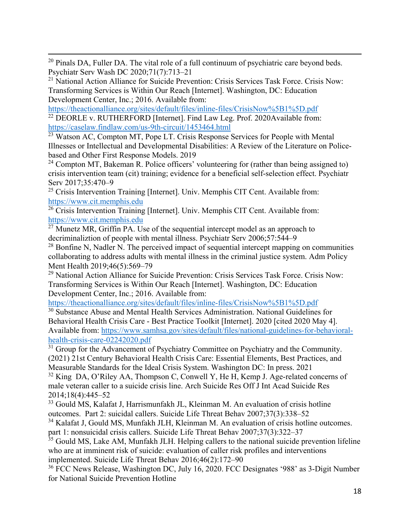<span id="page-17-0"></span> $\overline{a}$ <sup>20</sup> Pinals DA, Fuller DA. The vital role of a full continuum of psychiatric care beyond beds. Psychiatr Serv Wash DC 2020;71(7):713–21

<sup>21</sup> National Action Alliance for Suicide Prevention: Crisis Services Task Force. Crisis Now: Transforming Services is Within Our Reach [Internet]. Washington, DC: Education Development Center, Inc.; 2016. Available from:

<https://theactionalliance.org/sites/default/files/inline-files/CrisisNow%5B1%5D.pdf>

 $22$  DEORLE v. RUTHERFORD [Internet]. Find Law Leg. Prof. 2020Available from: <https://caselaw.findlaw.com/us-9th-circuit/1453464.html>

<sup>23</sup> Watson AC, Compton MT, Pope LT. Crisis Response Services for People with Mental Illnesses or Intellectual and Developmental Disabilities: A Review of the Literature on Policebased and Other First Response Models. 2019

<sup>24</sup> Compton MT, Bakeman R. Police officers' volunteering for (rather than being assigned to) crisis intervention team (cit) training; evidence for a beneficial self-selection effect. Psychiatr Serv 2017;35:470–9

<sup>25</sup> Crisis Intervention Training [Internet]. Univ. Memphis CIT Cent. Available from: [https://www.cit.memphis.edu](https://www.cit.memphis.edu/)

<sup>26</sup> Crisis Intervention Training [Internet]. Univ. Memphis CIT Cent. Available from: [https://www.cit.memphis.edu](https://www.cit.memphis.edu/)

 $\overline{27}$  Munetz MR, Griffin PA. Use of the sequential intercept model as an approach to decriminaliztion of people with mental illness. Psychiatr Serv 2006;57:544–9

 $^{28}$  Bonfine N, Nadler N. The perceived impact of sequential intercept mapping on communities collaborating to address adults with mental illness in the criminal justice system. Adm Policy Ment Health 2019;46(5):569–79

<sup>29</sup> National Action Alliance for Suicide Prevention: Crisis Services Task Force. Crisis Now: Transforming Services is Within Our Reach [Internet]. Washington, DC: Education Development Center, Inc.; 2016. Available from:

<https://theactionalliance.org/sites/default/files/inline-files/CrisisNow%5B1%5D.pdf>

<sup>30</sup> Substance Abuse and Mental Health Services Administration. National Guidelines for Behavioral Health Crisis Care - Best Practice Toolkit [Internet]. 2020 [cited 2020 May 4]. Available from: [https://www.samhsa.gov/sites/default/files/national-guidelines-for-behavioral](https://www.samhsa.gov/sites/default/files/national-guidelines-for-behavioral-health-crisis-care-02242020.pdf)[health-crisis-care-02242020.pdf](https://www.samhsa.gov/sites/default/files/national-guidelines-for-behavioral-health-crisis-care-02242020.pdf)

 $31$  Group for the Advancement of Psychiatry Committee on Psychiatry and the Community. (2021) 21st Century Behavioral Health Crisis Care: Essential Elements, Best Practices, and Measurable Standards for the Ideal Crisis System. Washington DC: In press. 2021

 $32$  King DA, O'Riley AA, Thompson C, Conwell Y, He H, Kemp J. Age-related concerns of male veteran caller to a suicide crisis line. Arch Suicide Res Off J Int Acad Suicide Res 2014;18(4):445–52

<sup>33</sup> Gould MS, Kalafat J, Harrismunfakh JL, Kleinman M. An evaluation of crisis hotline outcomes. Part 2: suicidal callers. Suicide Life Threat Behav 2007;37(3):338–52

<sup>34</sup> Kalafat J, Gould MS, Munfakh JLH, Kleinman M. An evaluation of crisis hotline outcomes. part 1: nonsuicidal crisis callers. Suicide Life Threat Behav 2007;37(3):322–37

<sup>35</sup> Gould MS, Lake AM, Munfakh JLH. Helping callers to the national suicide prevention lifeline who are at imminent risk of suicide: evaluation of caller risk profiles and interventions implemented. Suicide Life Threat Behav 2016;46(2):172–90

<sup>36</sup> FCC News Release, Washington DC, July 16, 2020. FCC Designates '988' as 3-Digit Number for National Suicide Prevention Hotline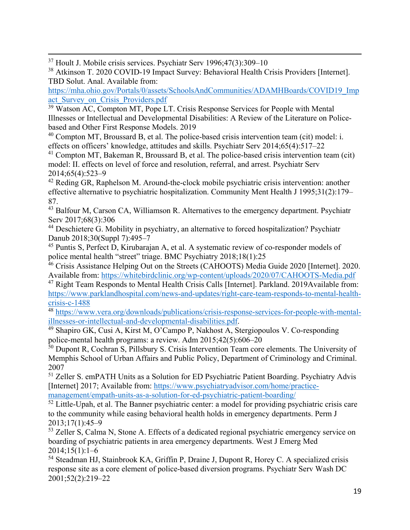<span id="page-18-0"></span> $\overline{a}$ <sup>37</sup> Hoult J. Mobile crisis services. Psychiatr Serv 1996;47(3):309–10

<sup>38</sup> Atkinson T. 2020 COVID-19 Impact Survey: Behavioral Health Crisis Providers [Internet]. TBD Solut. Anal. Available from:

[https://mha.ohio.gov/Portals/0/assets/SchoolsAndCommunities/ADAMHBoards/COVID19\\_Imp](https://mha.ohio.gov/Portals/0/assets/SchoolsAndCommunities/ADAMHBoards/COVID19_Impact_Survey_on_Crisis_Providers.pdf) act Survey on Crisis Providers.pdf

<sup>39</sup> Watson AC, Compton MT, Pope LT. Crisis Response Services for People with Mental Illnesses or Intellectual and Developmental Disabilities: A Review of the Literature on Policebased and Other First Response Models. 2019

 $40$  Compton MT, Broussard B, et al. The police-based crisis intervention team (cit) model: i. effects on officers' knowledge, attitudes and skills. Psychiatr Serv 2014;65(4):517–22

 $41$  Compton MT, Bakeman R, Broussard B, et al. The police-based crisis intervention team (cit) model: II. effects on level of force and resolution, referral, and arrest. Psychiatr Serv 2014;65(4):523–9

<sup>42</sup> Reding GR, Raphelson M. Around-the-clock mobile psychiatric crisis intervention: another effective alternative to psychiatric hospitalization. Community Ment Health J 1995;31(2):179– 87.

<sup>43</sup> Balfour M, Carson CA, Williamson R. Alternatives to the emergency department. Psychiatr Serv 2017;68(3):306

<sup>44</sup> Deschietere G. Mobility in psychiatry, an alternative to forced hospitalization? Psychiatr Danub 2018;30(Suppl 7):495–7

<sup>45</sup> Puntis S, Perfect D, Kirubarajan A, et al. A systematic review of co-responder models of police mental health "street" triage. BMC Psychiatry 2018;18(1):25

<sup>46</sup> Crisis Assistance Helping Out on the Streets (CAHOOTS) Media Guide 2020 [Internet]. 2020. Available from:<https://whitebirdclinic.org/wp-content/uploads/2020/07/CAHOOTS-Media.pdf>

<sup>47</sup> Right Team Responds to Mental Health Crisis Calls [Internet]. Parkland. 2019Available from: [https://www.parklandhospital.com/news-and-updates/right-care-team-responds-to-mental-health](https://www.parklandhospital.com/news-and-updates/right-care-team-responds-to-mental-health-crisis-c-1488)[crisis-c-1488](https://www.parklandhospital.com/news-and-updates/right-care-team-responds-to-mental-health-crisis-c-1488)

48 https://www.vera.org/downloads/publications/crisis-response-services-for-people-with-mental-<br>illnesses-or-intellectual-and-developmental-disabilities.pdf.

<sup>49</sup> Shapiro GK, Cusi A, Kirst M, O'Campo P, Nakhost A, Stergiopoulos V. Co-responding police-mental health programs: a review. Adm 2015;42(5):606–20

 $50$  Dupont R, Cochran S, Pillsbury S. Crisis Intervention Team core elements. The University of Memphis School of Urban Affairs and Public Policy, Department of Criminology and Criminal. 2007

<sup>51</sup> Zeller S. emPATH Units as a Solution for ED Psychiatric Patient Boarding. Psychiatry Advis [Internet] 2017; Available from: [https://www.psychiatryadvisor.com/home/practice](https://www.psychiatryadvisor.com/home/practice-management/empath-units-as-a-solution-for-ed-psychiatric-patient-boarding/)[management/empath-units-as-a-solution-for-ed-psychiatric-patient-boarding/](https://www.psychiatryadvisor.com/home/practice-management/empath-units-as-a-solution-for-ed-psychiatric-patient-boarding/)

 $52$  Little-Upah, et al. The Banner psychiatric center: a model for providing psychiatric crisis care to the community while easing behavioral health holds in emergency departments. Perm J 2013;17(1):45–9

<sup>53</sup> Zeller S, Calma N, Stone A. Effects of a dedicated regional psychiatric emergency service on boarding of psychiatric patients in area emergency departments. West J Emerg Med 2014;15(1):1–6

<sup>54</sup> Steadman HJ, Stainbrook KA, Griffin P, Draine J, Dupont R, Horey C. A specialized crisis response site as a core element of police-based diversion programs. Psychiatr Serv Wash DC 2001;52(2):219–22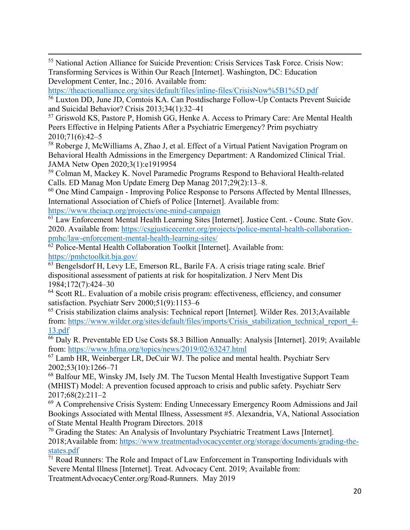<span id="page-19-0"></span> $\overline{a}$ <sup>55</sup> National Action Alliance for Suicide Prevention: Crisis Services Task Force. Crisis Now: Transforming Services is Within Our Reach [Internet]. Washington, DC: Education Development Center, Inc.; 2016. Available from:

<https://theactionalliance.org/sites/default/files/inline-files/CrisisNow%5B1%5D.pdf>

<sup>56</sup> Luxton DD, June JD, Comtois KA. Can Postdischarge Follow-Up Contacts Prevent Suicide and Suicidal Behavior? Crisis 2013;34(1):32–41

<sup>57</sup> Griswold KS, Pastore P, Homish GG, Henke A. Access to Primary Care: Are Mental Health Peers Effective in Helping Patients After a Psychiatric Emergency? Prim psychiatry 2010;71(6):42–5

<sup>58</sup> Roberge J, McWilliams A, Zhao J, et al. Effect of a Virtual Patient Navigation Program on Behavioral Health Admissions in the Emergency Department: A Randomized Clinical Trial. JAMA Netw Open 2020;3(1):e1919954

<sup>59</sup> Colman M, Mackey K. Novel Paramedic Programs Respond to Behavioral Health-related Calls. ED Manag Mon Update Emerg Dep Manag 2017;29(2):13–8.

<sup>60</sup> One Mind Campaign - Improving Police Response to Persons Affected by Mental Illnesses, International Association of Chiefs of Police [Internet]. Available from:

<https://www.theiacp.org/projects/one-mind-campaign>

<sup>61</sup> Law Enforcement Mental Health Learning Sites [Internet]. Justice Cent. - Counc. State Gov. 2020. Available from: [https://csgjusticecenter.org/projects/police-mental-health-collaboration](https://csgjusticecenter.org/projects/police-mental-health-collaboration-pmhc/law-enforcement-mental-health-learning-sites/)[pmhc/law-enforcement-mental-health-learning-sites/](https://csgjusticecenter.org/projects/police-mental-health-collaboration-pmhc/law-enforcement-mental-health-learning-sites/)

 $\overline{62}$  Police-Mental Health Collaboration Toolkit [Internet]. Available from: <https://pmhctoolkit.bja.gov/>

<sup>63</sup> Bengelsdorf H, Levy LE, Emerson RL, Barile FA. A crisis triage rating scale. Brief dispositional assessment of patients at risk for hospitalization. J Nerv Ment Dis 1984;172(7):424–30

<sup>64</sup> Scott RL. Evaluation of a mobile crisis program: effectiveness, efficiency, and consumer satisfaction. Psychiatr Serv 2000;51(9):1153–6

<sup>65</sup> Crisis stabilization claims analysis: Technical report [Internet]. Wilder Res. 2013;Available from: [https://www.wilder.org/sites/default/files/imports/Crisis\\_stabilization\\_technical\\_report\\_4-](https://www.wilder.org/sites/default/files/imports/Crisis_stabilization_technical_report_4-13.pdf) [13.pdf](https://www.wilder.org/sites/default/files/imports/Crisis_stabilization_technical_report_4-13.pdf)

<sup>66</sup> Daly R. Preventable ED Use Costs \$8.3 Billion Annually: Analysis [Internet]. 2019; Available from:<https://www.hfma.org/topics/news/2019/02/63247.html>

 $67$  Lamb HR, Weinberger LR, DeCuir WJ. The police and mental health. Psychiatr Serv 2002;53(10):1266–71

<sup>68</sup> Balfour ME, Winsky JM, Isely JM. The Tucson Mental Health Investigative Support Team (MHIST) Model: A prevention focused approach to crisis and public safety. Psychiatr Serv 2017;68(2):211–2

<sup>69</sup> A Comprehensive Crisis System: Ending Unnecessary Emergency Room Admissions and Jail Bookings Associated with Mental Illness, Assessment #5. Alexandria, VA, National Association of State Mental Health Program Directors. 2018

 $70$  Grading the States: An Analysis of Involuntary Psychiatric Treatment Laws [Internet]. 2018;Available from: [https://www.treatmentadvocacycenter.org/storage/documents/grading-the](https://www.treatmentadvocacycenter.org/storage/documents/grading-the-states.pdf)[states.pdf](https://www.treatmentadvocacycenter.org/storage/documents/grading-the-states.pdf)

 $\frac{71}{11}$  Road Runners: The Role and Impact of Law Enforcement in Transporting Individuals with Severe Mental Illness [Internet]. Treat. Advocacy Cent. 2019; Available from: TreatmentAdvocacyCenter.org/Road-Runners. May 2019